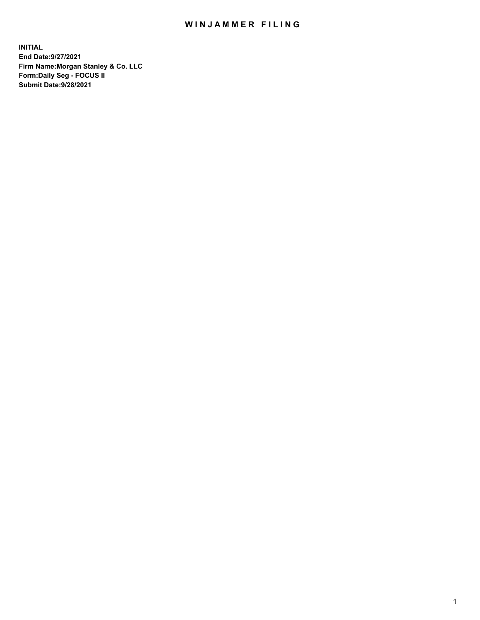## WIN JAMMER FILING

**INITIAL End Date:9/27/2021 Firm Name:Morgan Stanley & Co. LLC Form:Daily Seg - FOCUS II Submit Date:9/28/2021**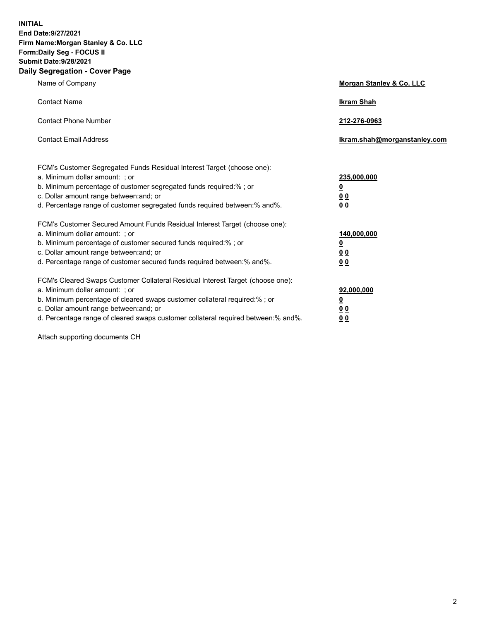**INITIAL End Date:9/27/2021 Firm Name:Morgan Stanley & Co. LLC Form:Daily Seg - FOCUS II Submit Date:9/28/2021 Daily Segregation - Cover Page**

| Name of Company                                                                                                                                                                                                                                                                                                               | <b>Morgan Stanley &amp; Co. LLC</b>                   |
|-------------------------------------------------------------------------------------------------------------------------------------------------------------------------------------------------------------------------------------------------------------------------------------------------------------------------------|-------------------------------------------------------|
| <b>Contact Name</b>                                                                                                                                                                                                                                                                                                           | <b>Ikram Shah</b>                                     |
| <b>Contact Phone Number</b>                                                                                                                                                                                                                                                                                                   | 212-276-0963                                          |
| <b>Contact Email Address</b>                                                                                                                                                                                                                                                                                                  | lkram.shah@morganstanley.com                          |
| FCM's Customer Segregated Funds Residual Interest Target (choose one):<br>a. Minimum dollar amount: ; or<br>b. Minimum percentage of customer segregated funds required:% ; or<br>c. Dollar amount range between: and; or<br>d. Percentage range of customer segregated funds required between:% and%.                        | 235,000,000<br><u>0</u><br><u>00</u><br><u>00</u>     |
| FCM's Customer Secured Amount Funds Residual Interest Target (choose one):<br>a. Minimum dollar amount: ; or<br>b. Minimum percentage of customer secured funds required: % ; or<br>c. Dollar amount range between: and; or<br>d. Percentage range of customer secured funds required between:% and%.                         | 140,000,000<br><u>0</u><br>00<br>0 <sub>0</sub>       |
| FCM's Cleared Swaps Customer Collateral Residual Interest Target (choose one):<br>a. Minimum dollar amount: ; or<br>b. Minimum percentage of cleared swaps customer collateral required:%; or<br>c. Dollar amount range between: and; or<br>d. Percentage range of cleared swaps customer collateral required between:% and%. | 92,000,000<br><u>0</u><br><u>00</u><br>0 <sup>0</sup> |

Attach supporting documents CH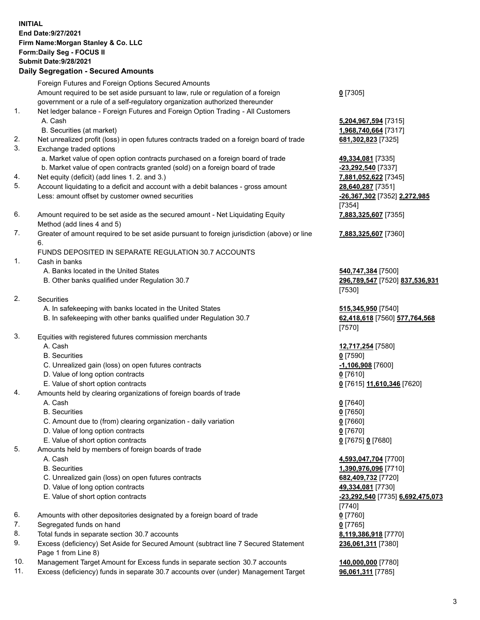## **INITIAL End Date:9/27/2021 Firm Name:Morgan Stanley & Co. LLC Form:Daily Seg - FOCUS II Submit Date:9/28/2021 Daily Segregation - Secured Amounts**

Foreign Futures and Foreign Options Secured Amounts

Amount required to be set aside pursuant to law, rule or regulation of a foreign government or a rule of a self-regulatory organization authorized thereunder

- 1. Net ledger balance Foreign Futures and Foreign Option Trading All Customers A. Cash **5,204,967,594** [7315]
	- B. Securities (at market) **1,968,740,664** [7317]
- 2. Net unrealized profit (loss) in open futures contracts traded on a foreign board of trade **681,302,823** [7325]
- 3. Exchange traded options
	- a. Market value of open option contracts purchased on a foreign board of trade **49,334,081** [7335]
	- b. Market value of open contracts granted (sold) on a foreign board of trade **-23,292,540** [7337]
- 4. Net equity (deficit) (add lines 1. 2. and 3.) **7,881,052,622** [7345]
- 5. Account liquidating to a deficit and account with a debit balances gross amount **28,640,287** [7351] Less: amount offset by customer owned securities **-26,367,302** [7352] **2,272,985**
- 6. Amount required to be set aside as the secured amount Net Liquidating Equity Method (add lines 4 and 5)
- 7. Greater of amount required to be set aside pursuant to foreign jurisdiction (above) or line 6.

## FUNDS DEPOSITED IN SEPARATE REGULATION 30.7 ACCOUNTS

- 1. Cash in banks
	- A. Banks located in the United States **540,747,384** [7500]
	- B. Other banks qualified under Regulation 30.7 **296,789,547** [7520] **837,536,931**
- 2. Securities
	- A. In safekeeping with banks located in the United States **515,345,950** [7540]
	- B. In safekeeping with other banks qualified under Regulation 30.7 **62,418,618** [7560] **577,764,568**
- 3. Equities with registered futures commission merchants
	-
	- B. Securities **0** [7590]
	- C. Unrealized gain (loss) on open futures contracts **-1,106,908** [7600]
	- D. Value of long option contracts **0** [7610]
	- E. Value of short option contracts **0** [7615] **11,610,346** [7620]
- 4. Amounts held by clearing organizations of foreign boards of trade
	- A. Cash **0** [7640]
	- B. Securities **0** [7650]
	- C. Amount due to (from) clearing organization daily variation **0** [7660]
	- D. Value of long option contracts **0** [7670]
	- E. Value of short option contracts **0** [7675] **0** [7680]
- 5. Amounts held by members of foreign boards of trade
	-
	-
	- C. Unrealized gain (loss) on open futures contracts **682,409,732** [7720]
	- D. Value of long option contracts **49,334,081** [7730]
	-
- 6. Amounts with other depositories designated by a foreign board of trade **0** [7760]
- 7. Segregated funds on hand **0** [7765]
- 8. Total funds in separate section 30.7 accounts **8,119,386,918** [7770]
- 9. Excess (deficiency) Set Aside for Secured Amount (subtract line 7 Secured Statement Page 1 from Line 8)
- 10. Management Target Amount for Excess funds in separate section 30.7 accounts **140,000,000** [7780]
- 11. Excess (deficiency) funds in separate 30.7 accounts over (under) Management Target **96,061,311** [7785]

|  | ٠., |
|--|-----|
|--|-----|

[7354] **7,883,325,607** [7355]

**7,883,325,607** [7360]

[7530]

[7570]

A. Cash **12,717,254** [7580]

 A. Cash **4,593,047,704** [7700] B. Securities **1,390,976,096** [7710] E. Value of short option contracts **-23,292,540** [7735] **6,692,475,073** [7740] **236,061,311** [7380]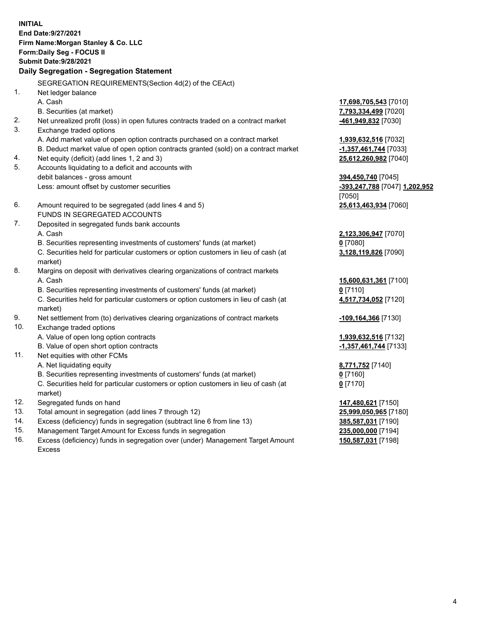**INITIAL End Date:9/27/2021 Firm Name:Morgan Stanley & Co. LLC Form:Daily Seg - FOCUS II Submit Date:9/28/2021 Daily Segregation - Segregation Statement** SEGREGATION REQUIREMENTS(Section 4d(2) of the CEAct) 1. Net ledger balance A. Cash **17,698,705,543** [7010] B. Securities (at market) **7,793,334,499** [7020] 2. Net unrealized profit (loss) in open futures contracts traded on a contract market **-461,949,832** [7030] 3. Exchange traded options A. Add market value of open option contracts purchased on a contract market **1,939,632,516** [7032] B. Deduct market value of open option contracts granted (sold) on a contract market **-1,357,461,744** [7033] 4. Net equity (deficit) (add lines 1, 2 and 3) **25,612,260,982** [7040] 5. Accounts liquidating to a deficit and accounts with debit balances - gross amount **394,450,740** [7045] Less: amount offset by customer securities **-393,247,788** [7047] **1,202,952** [7050] 6. Amount required to be segregated (add lines 4 and 5) **25,613,463,934** [7060] FUNDS IN SEGREGATED ACCOUNTS 7. Deposited in segregated funds bank accounts A. Cash **2,123,306,947** [7070] B. Securities representing investments of customers' funds (at market) **0** [7080] C. Securities held for particular customers or option customers in lieu of cash (at market) **3,128,119,826** [7090] 8. Margins on deposit with derivatives clearing organizations of contract markets A. Cash **15,600,631,361** [7100] B. Securities representing investments of customers' funds (at market) **0** [7110] C. Securities held for particular customers or option customers in lieu of cash (at market) **4,517,734,052** [7120] 9. Net settlement from (to) derivatives clearing organizations of contract markets **-109,164,366** [7130] 10. Exchange traded options A. Value of open long option contracts **1,939,632,516** [7132] B. Value of open short option contracts **-1,357,461,744** [7133] 11. Net equities with other FCMs A. Net liquidating equity **8,771,752** [7140] B. Securities representing investments of customers' funds (at market) **0** [7160] C. Securities held for particular customers or option customers in lieu of cash (at market) **0** [7170] 12. Segregated funds on hand **147,480,621** [7150] 13. Total amount in segregation (add lines 7 through 12) **25,999,050,965** [7180] 14. Excess (deficiency) funds in segregation (subtract line 6 from line 13) **385,587,031** [7190] 15. Management Target Amount for Excess funds in segregation **235,000,000** [7194]

16. Excess (deficiency) funds in segregation over (under) Management Target Amount Excess

**150,587,031** [7198]